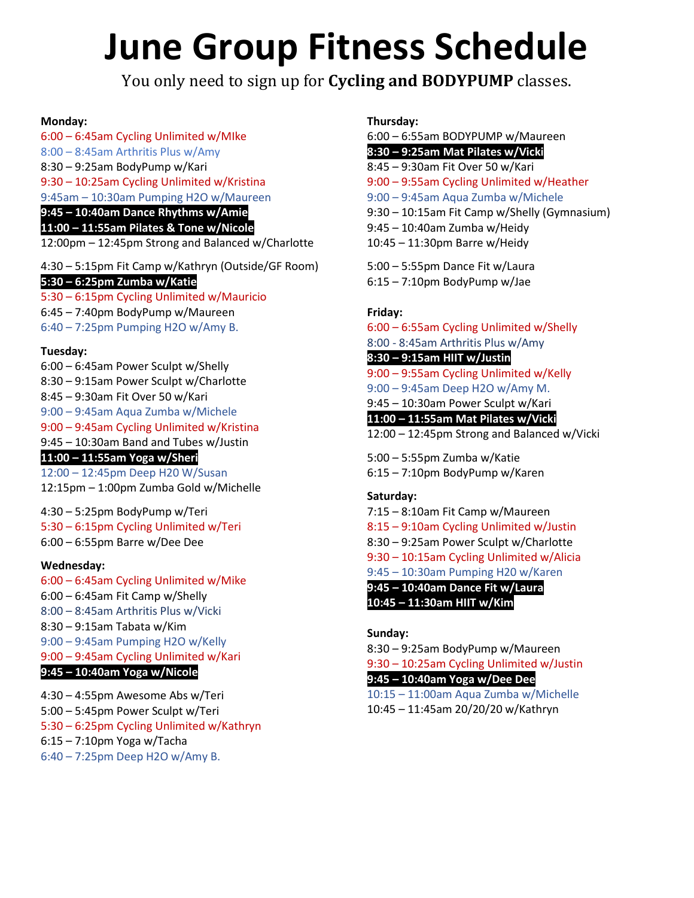# **June Group Fitness Schedule**

You only need to sign up for **Cycling and BODYPUMP** classes.

#### **Monday:**

6:00 – 6:45am Cycling Unlimited w/MIke 8:00 – 8:45am Arthritis Plus w/Amy

8:30 – 9:25am BodyPump w/Kari

9:30 – 10:25am Cycling Unlimited w/Kristina

9:45am – 10:30am Pumping H2O w/Maureen

**9:45 – 10:40am Dance Rhythms w/Amie**

**11:00 – 11:55am Pilates & Tone w/Nicole** 12:00pm – 12:45pm Strong and Balanced w/Charlotte

4:30 – 5:15pm Fit Camp w/Kathryn (Outside/GF Room) **5:30 – 6:25pm Zumba w/Katie**

5:30 – 6:15pm Cycling Unlimited w/Mauricio

6:45 – 7:40pm BodyPump w/Maureen

6:40 – 7:25pm Pumping H2O w/Amy B.

#### **Tuesday:**

6:00 – 6:45am Power Sculpt w/Shelly 8:30 – 9:15am Power Sculpt w/Charlotte 8:45 – 9:30am Fit Over 50 w/Kari 9:00 – 9:45am Aqua Zumba w/Michele 9:00 – 9:45am Cycling Unlimited w/Kristina 9:45 – 10:30am Band and Tubes w/Justin **11:00 – 11:55am Yoga w/Sheri** 12:00 – 12:45pm Deep H20 W/Susan 12:15pm – 1:00pm Zumba Gold w/Michelle

4:30 – 5:25pm BodyPump w/Teri 5:30 – 6:15pm Cycling Unlimited w/Teri 6:00 – 6:55pm Barre w/Dee Dee

#### **Wednesday:**

- 6:00 6:45am Cycling Unlimited w/Mike
- 6:00 6:45am Fit Camp w/Shelly
- 8:00 8:45am Arthritis Plus w/Vicki
- 8:30 9:15am Tabata w/Kim
- 9:00 9:45am Pumping H2O w/Kelly
- 9:00 9:45am Cycling Unlimited w/Kari

#### **9:45 – 10:40am Yoga w/Nicole**

- 4:30 4:55pm Awesome Abs w/Teri
- 5:00 5:45pm Power Sculpt w/Teri
- 5:30 6:25pm Cycling Unlimited w/Kathryn
- 6:15 7:10pm Yoga w/Tacha
- 6:40 7:25pm Deep H2O w/Amy B.

#### **Thursday:**

6:00 – 6:55am BODYPUMP w/Maureen **8:30 – 9:25am Mat Pilates w/Vicki** 8:45 – 9:30am Fit Over 50 w/Kari 9:00 – 9:55am Cycling Unlimited w/Heather 9:00 – 9:45am Aqua Zumba w/Michele 9:30 – 10:15am Fit Camp w/Shelly (Gymnasium) 9:45 – 10:40am Zumba w/Heidy 10:45 – 11:30pm Barre w/Heidy

5:00 – 5:55pm Dance Fit w/Laura 6:15 – 7:10pm BodyPump w/Jae

#### **Friday:**

6:00 – 6:55am Cycling Unlimited w/Shelly

8:00 - 8:45am Arthritis Plus w/Amy

#### **8:30 – 9:15am HIIT w/Justin**

9:00 – 9:55am Cycling Unlimited w/Kelly

- 9:00 9:45am Deep H2O w/Amy M.
- 9:45 10:30am Power Sculpt w/Kari

**11:00 – 11:55am Mat Pilates w/Vicki**

12:00 – 12:45pm Strong and Balanced w/Vicki

5:00 – 5:55pm Zumba w/Katie 6:15 – 7:10pm BodyPump w/Karen

#### **Saturday:**

- 7:15 8:10am Fit Camp w/Maureen
- 8:15 9:10am Cycling Unlimited w/Justin
- 8:30 9:25am Power Sculpt w/Charlotte
- 9:30 10:15am Cycling Unlimited w/Alicia
- 9:45 10:30am Pumping H20 w/Karen

**9:45 – 10:40am Dance Fit w/Laura**

### **10:45 – 11:30am HIIT w/Kim**

#### **Sunday:**

8:30 – 9:25am BodyPump w/Maureen

9:30 – 10:25am Cycling Unlimited w/Justin

#### **9:45 – 10:40am Yoga w/Dee Dee**

10:15 – 11:00am Aqua Zumba w/Michelle 10:45 – 11:45am 20/20/20 w/Kathryn